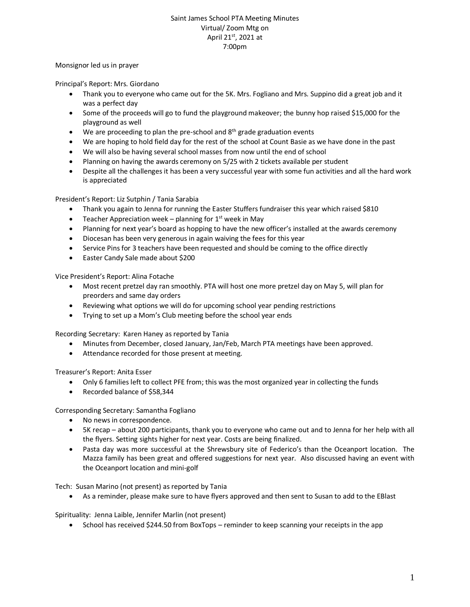## Saint James School PTA Meeting Minutes Virtual/ Zoom Mtg on April 21st, 2021 at 7:00pm

## Monsignor led us in prayer

Principal's Report: Mrs. Giordano

- Thank you to everyone who came out for the 5K. Mrs. Fogliano and Mrs. Suppino did a great job and it was a perfect day
- Some of the proceeds will go to fund the playground makeover; the bunny hop raised \$15,000 for the playground as well
- $\bullet$  We are proceeding to plan the pre-school and  $8<sup>th</sup>$  grade graduation events
- We are hoping to hold field day for the rest of the school at Count Basie as we have done in the past
- We will also be having several school masses from now until the end of school
- Planning on having the awards ceremony on 5/25 with 2 tickets available per student
- Despite all the challenges it has been a very successful year with some fun activities and all the hard work is appreciated

President's Report: Liz Sutphin / Tania Sarabia

- Thank you again to Jenna for running the Easter Stuffers fundraiser this year which raised \$810
- **•** Teacher Appreciation week planning for  $1^{st}$  week in May
- Planning for next year's board as hopping to have the new officer's installed at the awards ceremony
- Diocesan has been very generous in again waiving the fees for this year
- Service Pins for 3 teachers have been requested and should be coming to the office directly
- Easter Candy Sale made about \$200

Vice President's Report: Alina Fotache

- Most recent pretzel day ran smoothly. PTA will host one more pretzel day on May 5, will plan for preorders and same day orders
- Reviewing what options we will do for upcoming school year pending restrictions
- Trying to set up a Mom's Club meeting before the school year ends

Recording Secretary: Karen Haney as reported by Tania

- Minutes from December, closed January, Jan/Feb, March PTA meetings have been approved.
- Attendance recorded for those present at meeting.

Treasurer's Report: Anita Esser

- Only 6 families left to collect PFE from; this was the most organized year in collecting the funds
- Recorded balance of \$58,344

Corresponding Secretary: Samantha Fogliano

- No news in correspondence.
- 5K recap about 200 participants, thank you to everyone who came out and to Jenna for her help with all the flyers. Setting sights higher for next year. Costs are being finalized.
- Pasta day was more successful at the Shrewsbury site of Federico's than the Oceanport location. The Mazza family has been great and offered suggestions for next year. Also discussed having an event with the Oceanport location and mini-golf

Tech: Susan Marino (not present) as reported by Tania

As a reminder, please make sure to have flyers approved and then sent to Susan to add to the EBlast

Spirituality: Jenna Laible, Jennifer Marlin (not present)

• School has received \$244.50 from BoxTops – reminder to keep scanning your receipts in the app